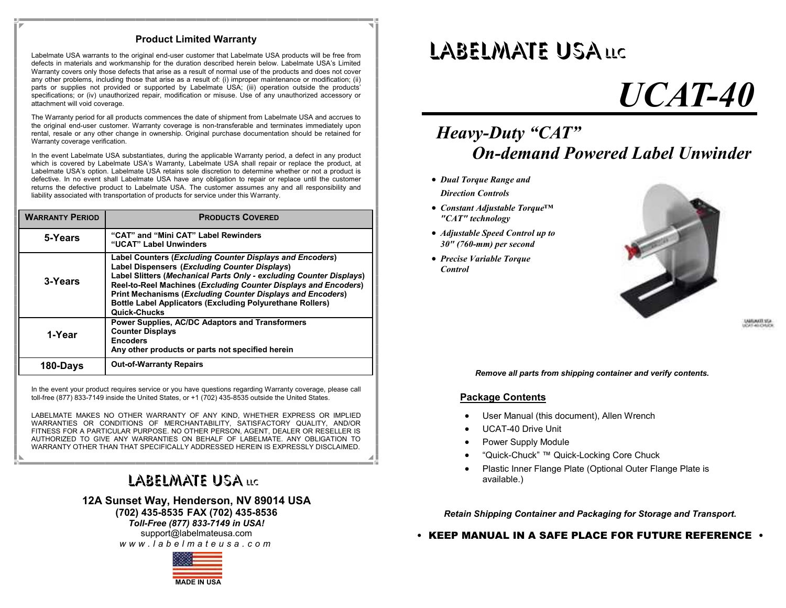#### **Product Limited Warranty**

Labelmate USA warrants to the original end-user customer that Labelmate USA products will be free from defects in materials and workmanship for the duration described herein below. Labelmate USA's Limited Warranty covers only those defects that arise as a result of normal use of the products and does not cover any other problems, including those that arise as a result of: (i) improper maintenance or modification; (ii) parts or supplies not provided or supported by Labelmate USA; (iii) operation outside the products' specifications; or (iv) unauthorized repair, modification or misuse. Use of any unauthorized accessory or attachment will void coverage.

The Warranty period for all products commences the date of shipment from Labelmate USA and accrues to the original end-user customer. Warranty coverage is non-transferable and terminates immediately upon rental, resale or any other change in ownership. Original purchase documentation should be retained for Warranty coverage verification.

In the event Labelmate USA substantiates, during the applicable Warranty period, a defect in any product which is covered by Labelmate USA's Warranty, Labelmate USA shall repair or replace the product, at Labelmate USA's option. Labelmate USA retains sole discretion to determine whether or not a product is defective. In no event shall Labelmate USA have any obligation to repair or replace until the customer returns the defective product to Labelmate USA. The customer assumes any and all responsibility and liability associated with transportation of products for service under this Warranty.

| <b>WARRANTY PERIOD</b> | <b>PRODUCTS COVERED</b>                                                                                                                                                                                                                                                                                                                                                                                      |
|------------------------|--------------------------------------------------------------------------------------------------------------------------------------------------------------------------------------------------------------------------------------------------------------------------------------------------------------------------------------------------------------------------------------------------------------|
| 5-Years                | "CAT" and "Mini CAT" Label Rewinders<br>"UCAT" Label Unwinders                                                                                                                                                                                                                                                                                                                                               |
| 3-Years                | Label Counters (Excluding Counter Displays and Encoders)<br>Label Dispensers (Excluding Counter Displays)<br>Label Slitters (Mechanical Parts Only - excluding Counter Displays)<br>Reel-to-Reel Machines (Excluding Counter Displays and Encoders)<br><b>Print Mechanisms (Excluding Counter Displays and Encoders)</b><br><b>Bottle Label Applicators (Excluding Polyurethane Rollers)</b><br>Quick-Chucks |
| 1-Year                 | Power Supplies, AC/DC Adaptors and Transformers<br><b>Counter Displays</b><br><b>Encoders</b><br>Any other products or parts not specified herein                                                                                                                                                                                                                                                            |
| 180-Days               | <b>Out-of-Warranty Repairs</b>                                                                                                                                                                                                                                                                                                                                                                               |

In the event your product requires service or you have questions regarding Warranty coverage, please call toll-free (877) 833-7149 inside the United States, or +1 (702) 435-8535 outside the United States.

LABELMATE MAKES NO OTHER WARRANTY OF ANY KIND, WHETHER EXPRESS OR IMPLIED WARRANTIES OR CONDITIONS OF MERCHANTABILITY, SATISFACTORY QUALITY, AND/OR FITNESS FOR A PARTICULAR PURPOSE. NO OTHER PERSON, AGENT, DEALER OR RESELLER IS AUTHORIZED TO GIVE ANY WARRANTIES ON BEHALF OF LABELMATE. ANY OBLIGATION TO WARRANTY OTHER THAN THAT SPECIFICALLY ADDRESSED HEREIN IS EXPRESSLY DISCLAIMED.

### LABELMATE USA LLC

**(702) 435-8535 FAX (702) 435-8536**

**12A Sunset Way, Henderson, NV 89014 USA**<br>
(702) 435-8535 FAX (702) 435-8536<br> *Toll-Free (877) 833-7149 in USA!*<br>
support@labelmateusa.com<br> *w w w . l a b e l m a t e u s a . c o m Toll-Free (877) 833-7149 in USA!* support@labelmateusa.com

**MADE IN USA**

## LABELMATE USALLC

# *UCAT-40*

## *Heavy-Duty "CAT" On-demand Powered Label Unwinder*

- *Dual Torque Range and Direction Controls*
	-
- *Constant Adjustable Torque™ "CAT" technology*
- *Adjustable Speed Control up to 30" (760-mm) per second*
- *Precise Variable Torque Control*



**SAMUARTE STA** 

*Remove all parts from shipping container and verify contents.*

#### **Package Contents**

- User Manual (this document), Allen Wrench
- UCAT-40 Drive Unit
- Power Supply Module
- "Quick-Chuck" ™ Quick-Locking Core Chuck
- Plastic Inner Flange Plate (Optional Outer Flange Plate is available.)

*Retain Shipping Container and Packaging for Storage and Transport.*

**• KEEP MANUAL IN A SAFE PLACE FOR FUTURE REFERENCE •**